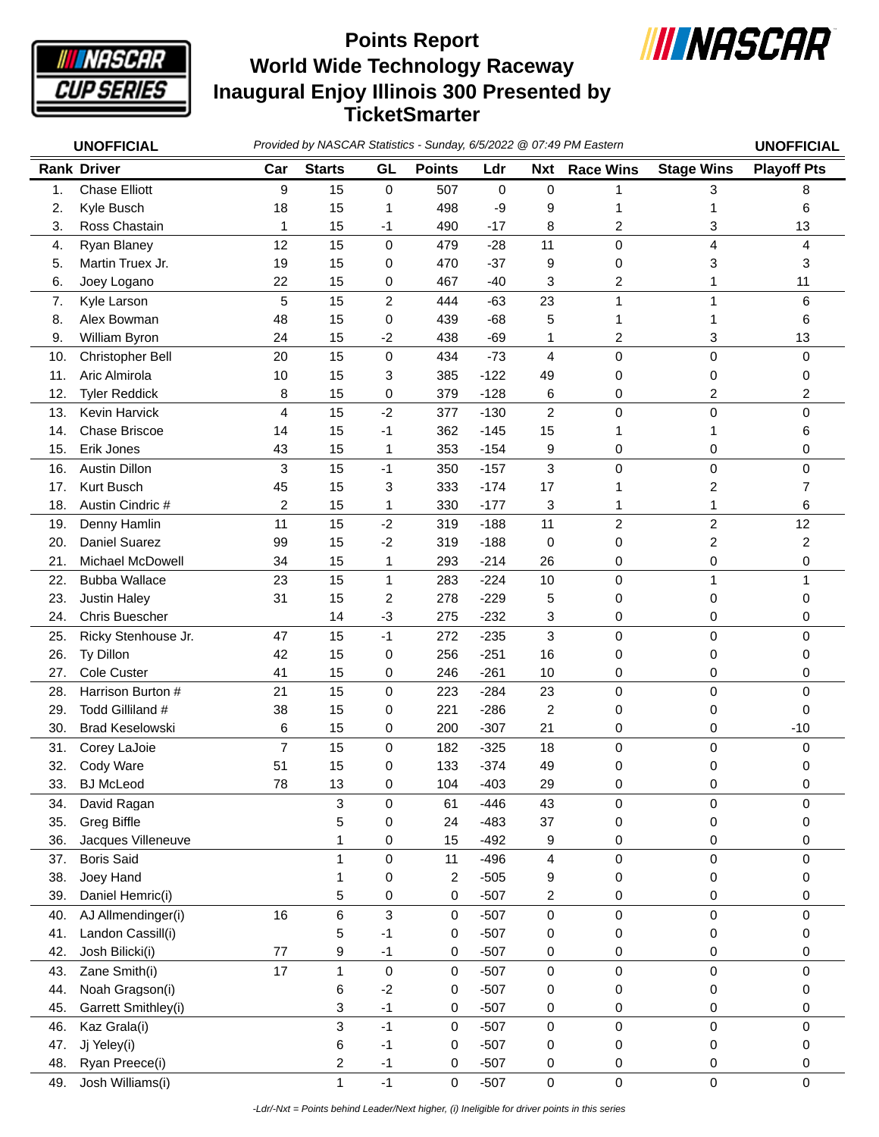

## **World Wide Technology Raceway Inaugural Enjoy Illinois 300 Presented by TicketSmarter Points Report**



|     | <b>UNOFFICIAL</b>      | Provided by NASCAR Statistics - Sunday, 6/5/2022 @ 07:49 PM Eastern |                         |                |               |           |                |                  |                         | <b>UNOFFICIAL</b>  |
|-----|------------------------|---------------------------------------------------------------------|-------------------------|----------------|---------------|-----------|----------------|------------------|-------------------------|--------------------|
|     | <b>Rank Driver</b>     | Car                                                                 | <b>Starts</b>           | GL             | <b>Points</b> | Ldr       | <b>Nxt</b>     | <b>Race Wins</b> | <b>Stage Wins</b>       | <b>Playoff Pts</b> |
| 1.  | <b>Chase Elliott</b>   | 9                                                                   | 15                      | $\mathbf 0$    | 507           | $\pmb{0}$ | 0              | 1                | 3                       | 8                  |
| 2.  | Kyle Busch             | 18                                                                  | 15                      | 1              | 498           | -9        | 9              | 1                | 1                       | 6                  |
| 3.  | Ross Chastain          | 1                                                                   | 15                      | $-1$           | 490           | $-17$     | 8              | 2                | 3                       | 13                 |
| 4.  | Ryan Blaney            | 12                                                                  | 15                      | $\mathbf 0$    | 479           | $-28$     | 11             | 0                | 4                       | 4                  |
| 5.  | Martin Truex Jr.       | 19                                                                  | 15                      | 0              | 470           | $-37$     | 9              | 0                | 3                       | 3                  |
| 6.  | Joey Logano            | 22                                                                  | 15                      | 0              | 467           | $-40$     | 3              | 2                | 1                       | 11                 |
| 7.  | Kyle Larson            | 5                                                                   | 15                      | $\overline{c}$ | 444           | $-63$     | 23             | 1                | 1                       | 6                  |
| 8.  | Alex Bowman            | 48                                                                  | 15                      | 0              | 439           | $-68$     | 5              | 1                | 1                       | 6                  |
| 9.  | William Byron          | 24                                                                  | 15                      | $-2$           | 438           | $-69$     | 1              | 2                | 3                       | 13                 |
| 10. | Christopher Bell       | 20                                                                  | 15                      | 0              | 434           | $-73$     | 4              | $\mathsf 0$      | 0                       | 0                  |
| 11. | Aric Almirola          | 10                                                                  | 15                      | 3              | 385           | $-122$    | 49             | 0                | 0                       | 0                  |
| 12. | <b>Tyler Reddick</b>   | 8                                                                   | 15                      | 0              | 379           | $-128$    | 6              | 0                | $\overline{c}$          | 2                  |
| 13. | Kevin Harvick          | $\overline{4}$                                                      | 15                      | $-2$           | 377           | $-130$    | $\overline{c}$ | 0                | 0                       | 0                  |
| 14. | Chase Briscoe          | 14                                                                  | 15                      | $-1$           | 362           | $-145$    | 15             | 1                | 1                       | 6                  |
| 15. | Erik Jones             | 43                                                                  | 15                      | $\mathbf 1$    | 353           | $-154$    | 9              | 0                | 0                       | 0                  |
| 16. | Austin Dillon          | 3                                                                   | 15                      | $-1$           | 350           | $-157$    | 3              | 0                | 0                       | 0                  |
| 17. | Kurt Busch             | 45                                                                  | 15                      | 3              | 333           | $-174$    | 17             | 1                | 2                       | 7                  |
| 18. | Austin Cindric #       | 2                                                                   | 15                      | 1              | 330           | $-177$    | 3              | 1                | $\mathbf{1}$            | 6                  |
| 19. | Denny Hamlin           | 11                                                                  | 15                      | $-2$           | 319           | $-188$    | 11             | $\overline{c}$   | $\overline{c}$          | 12                 |
| 20. | <b>Daniel Suarez</b>   | 99                                                                  | 15                      | $-2$           | 319           | $-188$    | 0              | 0                | $\overline{\mathbf{c}}$ | 2                  |
| 21. | Michael McDowell       | 34                                                                  | 15                      | 1              | 293           | $-214$    | 26             | 0                | 0                       | 0                  |
| 22. | <b>Bubba Wallace</b>   | 23                                                                  | 15                      | $\mathbf{1}$   | 283           | $-224$    | 10             | 0                | $\mathbf{1}$            | 1                  |
| 23. | <b>Justin Haley</b>    | 31                                                                  | 15                      | 2              | 278           | $-229$    | 5              | 0                | 0                       | 0                  |
| 24. | Chris Buescher         |                                                                     | 14                      | $-3$           | 275           | $-232$    | 3              | 0                | 0                       | 0                  |
| 25. | Ricky Stenhouse Jr.    | 47                                                                  | 15                      | $-1$           | 272           | $-235$    | 3              | 0                | 0                       | 0                  |
| 26. | Ty Dillon              | 42                                                                  | 15                      | 0              | 256           | $-251$    | 16             | 0                | 0                       | 0                  |
| 27. | Cole Custer            | 41                                                                  | 15                      | 0              | 246           | $-261$    | 10             | 0                | 0                       | 0                  |
| 28. | Harrison Burton #      | 21                                                                  | 15                      | 0              | 223           | $-284$    | 23             | $\mathsf 0$      | 0                       | 0                  |
| 29. | Todd Gilliland #       | 38                                                                  | 15                      | 0              | 221           | $-286$    | 2              | 0                | 0                       | 0                  |
| 30. | <b>Brad Keselowski</b> | 6                                                                   | 15                      | 0              | 200           | $-307$    | 21             | 0                | 0                       | $-10$              |
| 31. | Corey LaJoie           | $\overline{7}$                                                      | 15                      | 0              | 182           | $-325$    | 18             | 0                | 0                       | 0                  |
| 32. | Cody Ware              | 51                                                                  | 15                      | 0              | 133           | $-374$    | 49             | 0                | 0                       | 0                  |
| 33. | <b>BJ McLeod</b>       | 78                                                                  | 13                      | 0              | 104           | $-403$    | 29             | 0                | 0                       | 0                  |
| 34. | David Ragan            |                                                                     | 3                       | 0              | 61            | $-446$    | 43             | 0                | 0                       | 0                  |
| 35. | <b>Greg Biffle</b>     |                                                                     | 5                       | 0              | 24            | $-483$    | 37             | 0                | 0                       | 0                  |
| 36. | Jacques Villeneuve     |                                                                     | 1                       | 0              | 15            | $-492$    | 9              | 0                | 0                       | 0                  |
| 37. | <b>Boris Said</b>      |                                                                     | 1                       | 0              | 11            | $-496$    | 4              | 0                | 0                       | 0                  |
| 38. | Joey Hand              |                                                                     | 1                       | 0              | 2             | $-505$    | 9              | 0                | 0                       | 0                  |
| 39. | Daniel Hemric(i)       |                                                                     | 5                       | 0              | 0             | $-507$    | 2              | 0                | 0                       | 0                  |
| 40. | AJ Allmendinger(i)     | 16                                                                  | 6                       | $\mathfrak{S}$ | 0             | $-507$    | 0              | 0                | $\pmb{0}$               | 0                  |
| 41. | Landon Cassill(i)      |                                                                     | 5                       | $-1$           | 0             | $-507$    | 0              | 0                | 0                       | 0                  |
| 42. | Josh Bilicki(i)        | 77                                                                  | 9                       | $-1$           | 0             | $-507$    | 0              | 0                | 0                       | 0                  |
| 43. | Zane Smith(i)          | 17                                                                  | $\mathbf{1}$            | $\mathsf 0$    | 0             | $-507$    | 0              | 0                | $\pmb{0}$               | 0                  |
| 44. | Noah Gragson(i)        |                                                                     | 6                       | $-2$           | 0             | $-507$    | 0              | 0                | 0                       | 0                  |
| 45. | Garrett Smithley(i)    |                                                                     | 3                       | $-1$           | 0             | $-507$    | 0              | 0                | $\pmb{0}$               | 0                  |
| 46. | Kaz Grala(i)           |                                                                     | 3                       | $-1$           | $\pmb{0}$     | $-507$    | $\mathsf 0$    | $\mathsf 0$      | $\pmb{0}$               | 0                  |
| 47. | Jj Yeley(i)            |                                                                     | 6                       | $-1$           | 0             | $-507$    | 0              | 0                | 0                       | 0                  |
| 48. | Ryan Preece(i)         |                                                                     | $\overline{\mathbf{c}}$ | $-1$           | 0             | $-507$    | 0              | 0                | 0                       | 0                  |
| 49. | Josh Williams(i)       |                                                                     | $\mathbf{1}$            | $-1$           | 0             | $-507$    | 0              | $\mathbf 0$      | $\pmb{0}$               | 0                  |